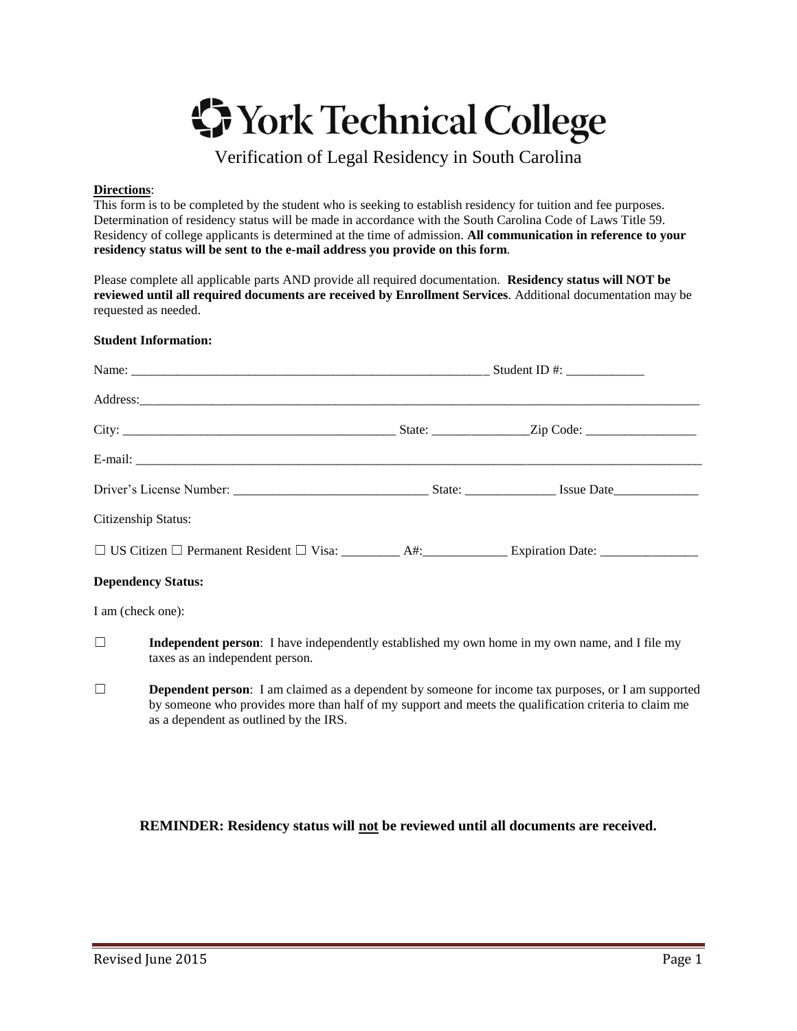# **Ty York Technical College**

Verification of Legal Residency in South Carolina

# **Directions**:

This form is to be completed by the student who is seeking to establish residency for tuition and fee purposes. Determination of residency status will be made in accordance with the South Carolina Code of Laws Title 59. Residency of college applicants is determined at the time of admission. **All communication in reference to your residency status will be sent to the e-mail address you provide on this form**.

Please complete all applicable parts AND provide all required documentation. **Residency status will NOT be reviewed until all required documents are received by Enrollment Services**. Additional documentation may be requested as needed.

#### **Student Information:**

| Citizenship Status:       |  |  |
|---------------------------|--|--|
|                           |  |  |
| <b>Dependency Status:</b> |  |  |
| I am (check one):         |  |  |

- ☐ **Independent person**: I have independently established my own home in my own name, and I file my taxes as an independent person.
- ☐ **Dependent person**: I am claimed as a dependent by someone for income tax purposes, or I am supported by someone who provides more than half of my support and meets the qualification criteria to claim me as a dependent as outlined by the IRS.

# **REMINDER: Residency status will not be reviewed until all documents are received.**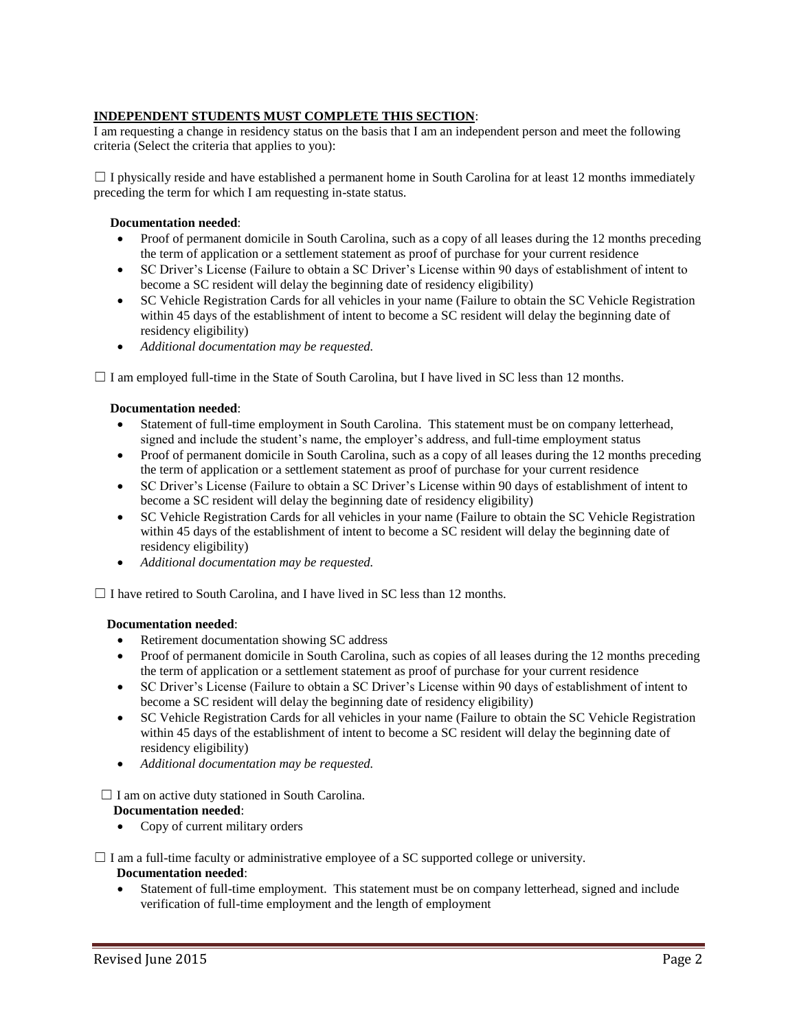## **INDEPENDENT STUDENTS MUST COMPLETE THIS SECTION**:

I am requesting a change in residency status on the basis that I am an independent person and meet the following criteria (Select the criteria that applies to you):

 $\Box$  I physically reside and have established a permanent home in South Carolina for at least 12 months immediately preceding the term for which I am requesting in-state status.

#### **Documentation needed**:

- Proof of permanent domicile in South Carolina, such as a copy of all leases during the 12 months preceding the term of application or a settlement statement as proof of purchase for your current residence
- SC Driver's License (Failure to obtain a SC Driver's License within 90 days of establishment of intent to become a SC resident will delay the beginning date of residency eligibility)
- SC Vehicle Registration Cards for all vehicles in your name (Failure to obtain the SC Vehicle Registration within 45 days of the establishment of intent to become a SC resident will delay the beginning date of residency eligibility)
- *Additional documentation may be requested.*

 $\Box$  I am employed full-time in the State of South Carolina, but I have lived in SC less than 12 months.

#### **Documentation needed**:

- Statement of full-time employment in South Carolina. This statement must be on company letterhead, signed and include the student's name, the employer's address, and full-time employment status
- Proof of permanent domicile in South Carolina, such as a copy of all leases during the 12 months preceding the term of application or a settlement statement as proof of purchase for your current residence
- SC Driver's License (Failure to obtain a SC Driver's License within 90 days of establishment of intent to become a SC resident will delay the beginning date of residency eligibility)
- SC Vehicle Registration Cards for all vehicles in your name (Failure to obtain the SC Vehicle Registration within 45 days of the establishment of intent to become a SC resident will delay the beginning date of residency eligibility)
- *Additional documentation may be requested.*

 $\Box$  I have retired to South Carolina, and I have lived in SC less than 12 months.

#### **Documentation needed**:

- Retirement documentation showing SC address
- Proof of permanent domicile in South Carolina, such as copies of all leases during the 12 months preceding the term of application or a settlement statement as proof of purchase for your current residence
- SC Driver's License (Failure to obtain a SC Driver's License within 90 days of establishment of intent to become a SC resident will delay the beginning date of residency eligibility)
- SC Vehicle Registration Cards for all vehicles in your name (Failure to obtain the SC Vehicle Registration within 45 days of the establishment of intent to become a SC resident will delay the beginning date of residency eligibility)
- *Additional documentation may be requested.*

□ I am on active duty stationed in South Carolina.

#### **Documentation needed**:

• Copy of current military orders

□ I am a full-time faculty or administrative employee of a SC supported college or university.

## **Documentation needed**:

 Statement of full-time employment. This statement must be on company letterhead, signed and include verification of full-time employment and the length of employment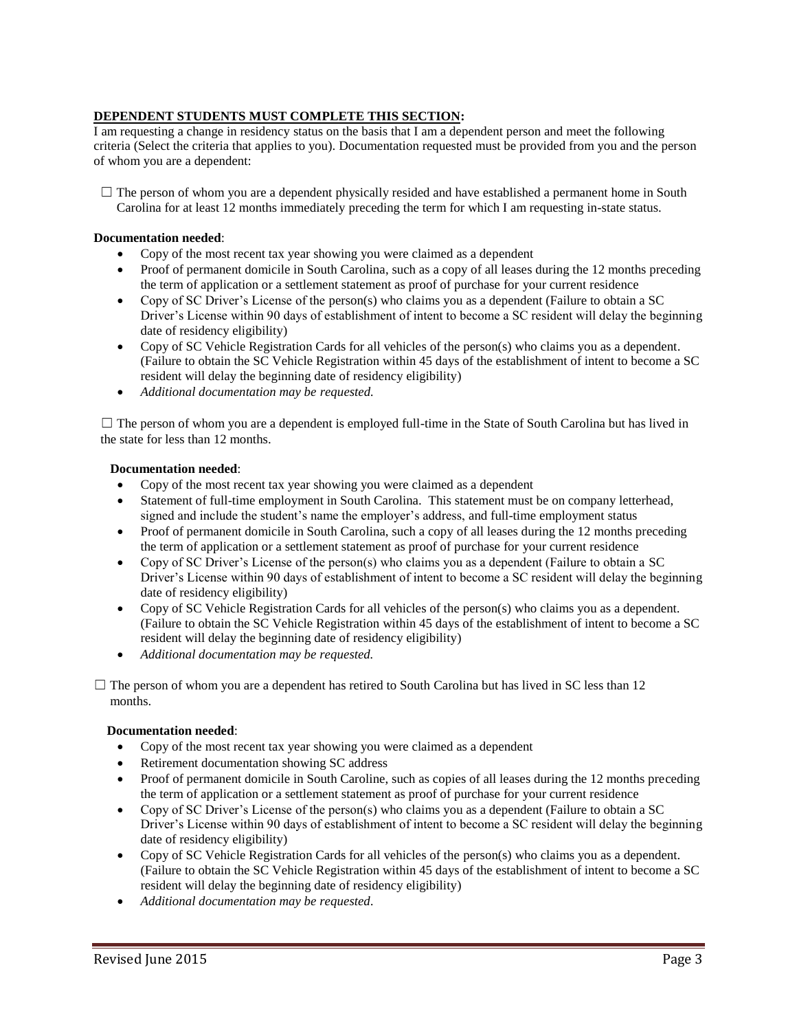# **DEPENDENT STUDENTS MUST COMPLETE THIS SECTION:**

I am requesting a change in residency status on the basis that I am a dependent person and meet the following criteria (Select the criteria that applies to you). Documentation requested must be provided from you and the person of whom you are a dependent:

 $\Box$  The person of whom you are a dependent physically resided and have established a permanent home in South Carolina for at least 12 months immediately preceding the term for which I am requesting in-state status.

#### **Documentation needed**:

- Copy of the most recent tax year showing you were claimed as a dependent
- Proof of permanent domicile in South Carolina, such as a copy of all leases during the 12 months preceding the term of application or a settlement statement as proof of purchase for your current residence
- Copy of SC Driver's License of the person(s) who claims you as a dependent (Failure to obtain a SC Driver's License within 90 days of establishment of intent to become a SC resident will delay the beginning date of residency eligibility)
- Copy of SC Vehicle Registration Cards for all vehicles of the person(s) who claims you as a dependent. (Failure to obtain the SC Vehicle Registration within 45 days of the establishment of intent to become a SC resident will delay the beginning date of residency eligibility)
- *Additional documentation may be requested.*

 $\Box$  The person of whom you are a dependent is employed full-time in the State of South Carolina but has lived in the state for less than 12 months.

#### **Documentation needed**:

- Copy of the most recent tax year showing you were claimed as a dependent
- Statement of full-time employment in South Carolina. This statement must be on company letterhead, signed and include the student's name the employer's address, and full-time employment status
- Proof of permanent domicile in South Carolina, such a copy of all leases during the 12 months preceding the term of application or a settlement statement as proof of purchase for your current residence
- Copy of SC Driver's License of the person(s) who claims you as a dependent (Failure to obtain a SC Driver's License within 90 days of establishment of intent to become a SC resident will delay the beginning date of residency eligibility)
- Copy of SC Vehicle Registration Cards for all vehicles of the person(s) who claims you as a dependent. (Failure to obtain the SC Vehicle Registration within 45 days of the establishment of intent to become a SC resident will delay the beginning date of residency eligibility)
- *Additional documentation may be requested.*

 $\Box$  The person of whom you are a dependent has retired to South Carolina but has lived in SC less than 12 months.

#### **Documentation needed**:

- Copy of the most recent tax year showing you were claimed as a dependent
- Retirement documentation showing SC address
- Proof of permanent domicile in South Caroline, such as copies of all leases during the 12 months preceding the term of application or a settlement statement as proof of purchase for your current residence
- Copy of SC Driver's License of the person(s) who claims you as a dependent (Failure to obtain a SC Driver's License within 90 days of establishment of intent to become a SC resident will delay the beginning date of residency eligibility)
- Copy of SC Vehicle Registration Cards for all vehicles of the person(s) who claims you as a dependent. (Failure to obtain the SC Vehicle Registration within 45 days of the establishment of intent to become a SC resident will delay the beginning date of residency eligibility)
- *Additional documentation may be requested.*